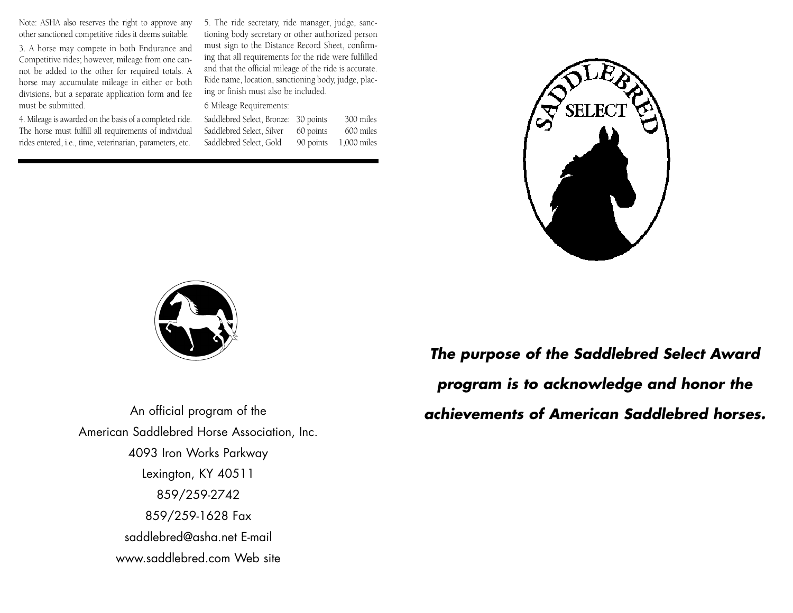Note: ASHA also reserves the right to approve any other sanctioned competitive rides it deems suitable.

3. A horse may compete in both Endurance and Competitive rides; however, mileage from one cannot be added to the other for required totals. A horse may accumulate mileage in either or both divisions, but a separate application form and fee must be submitted.

4. Mileage is awarded on the basis of a completed ride. The horse must fulfill all requirements of individual rides entered, i.e., time, veterinarian, parameters, etc.

5. The ride secretary, ride manager, judge, sanctioning body secretary or other authorized person must sign to the Distance Record Sheet, confirming that all requirements for the ride were fulfilled and that the official mileage of the ride is accurate. Ride name, location, sanctioning body, judge, placing or finish must also be included.

## 6 Mileage Requirements:

| Saddlebred Select, Bronze: 30 points |           | 300 miles   |
|--------------------------------------|-----------|-------------|
| Saddlebred Select, Silver            | 60 points | 600 miles   |
| Saddlebred Select, Gold              | 90 points | 1,000 miles |





An official program of the American Saddlebred Horse Association, Inc. 4093 Iron Works Parkway Lexington, KY 40511 859/259-2742 859/259-1628 Fax saddlebred@asha.net E-mail www.saddlebred.com Web site

*The purpose of the Saddlebred Select Award program is to acknowledge and honor the achievements of American Saddlebred horses.*